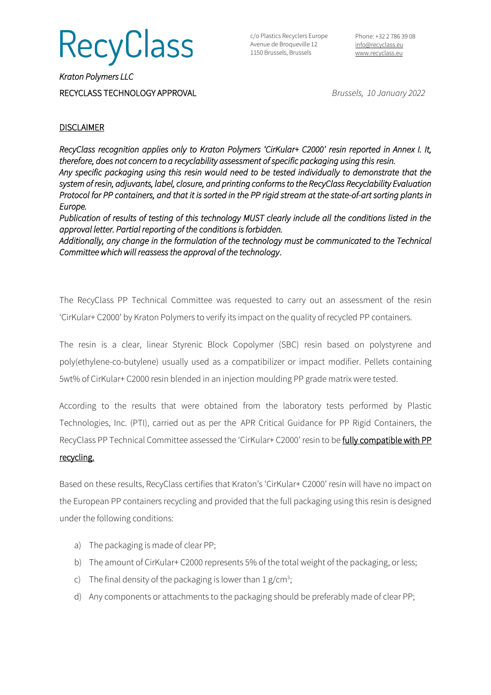## RecyClass

c/o Plastics Recyclers Europe Avenue de Broqueville 12 1150 Brussels, Brussels

Phone: +32 2 786 39 08 [info@recyclass.eu](mailto:info@recyclass.eu) [www.recyclass.eu](http://www.recyclass.eu/)

*Kraton Polymers LLC*  RECYCLASS TECHNOLOGY APPROVAL *Brussels, 10 January 2022*

## **DISCLAIMER**

*RecyClass recognition applies only to Kraton Polymers 'CirKular+ C2000' resin reported in Annex I. It, therefore, does not concern to a recyclability assessment of specific packaging using this resin. Any specific packaging using this resin would need to be tested individually to demonstrate that the system of resin, adjuvants, label, closure, and printing conforms to the RecyClass Recyclability Evaluation Protocol for PP containers, and that it is sorted in the PP rigid stream at the state-of-art sorting plants in Europe.* 

*Publication of results of testing of this technology MUST clearly include all the conditions listed in the approval letter. Partial reporting of the conditions is forbidden.* 

*Additionally, any change in the formulation of the technology must be communicated to the Technical Committee which will reassess the approval of the technology*.

The RecyClass PP Technical Committee was requested to carry out an assessment of the resin 'CirKular+ C2000' by Kraton Polymers to verify its impact on the quality of recycled PP containers.

The resin is a clear, linear Styrenic Block Copolymer (SBC) resin based on polystyrene and poly(ethylene-co-butylene) usually used as a compatibilizer or impact modifier. Pellets containing 5wt% of CirKular+ C2000 resin blended in an injection moulding PP grade matrix were tested.

According to the results that were obtained from the laboratory tests performed by Plastic Technologies, Inc. (PTI), carried out as per the APR Critical Guidance for PP Rigid Containers, the RecyClass PP Technical Committee assessed the 'CirKular+ C2000' resin to be fully compatible with PP

### recycling.

Based on these results, RecyClass certifies that Kraton's 'CirKular+ C2000' resin will have no impact on the European PP containers recycling and provided that the full packaging using this resin is designed under the following conditions:

- a) The packaging is made of clear PP;
- b) The amount of CirKular+ C2000 represents 5% of the total weight of the packaging, or less;
- c) The final density of the packaging is lower than  $1 g/cm^3$ ;
- d) Any components or attachments to the packaging should be preferably made of clear PP;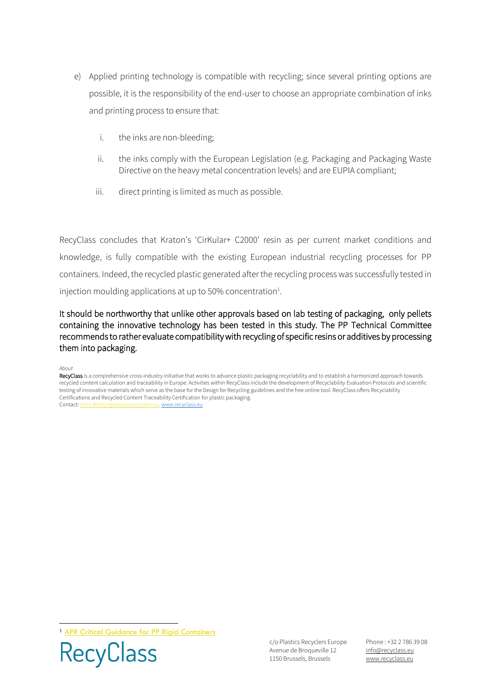- e) Applied printing technology is compatible with recycling; since several printing options are possible, it is the responsibility of the end-user to choose an appropriate combination of inks and printing process to ensure that:
	- i. the inks are non-bleeding;
	- ii. the inks comply with the European Legislation (e.g. Packaging and Packaging Waste Directive on the heavy metal concentration levels) and are EUPIA compliant;
	- iii. direct printing is limited as much as possible.

RecyClass concludes that Kraton's 'CirKular+ C2000' resin as per current market conditions and knowledge, is fully compatible with the existing European industrial recycling processes for PP containers. Indeed, the recycled plastic generated after the recycling process was successfully tested in injection moulding applications at up to 50% concentration $<sup>1</sup>$ .</sup>

It should be northworthy that unlike other approvals based on lab testing of packaging, only pellets containing the innovative technology has been tested in this study. The PP Technical Committee recommends to rather evaluate compatibility with recycling of specific resins or additives by processing them into packaging.

#### *About*

RecyClass is a comprehensive cross-industry initiative that works to advance plastic packaging recyclability and to establish a harmonized approach towards recycled content calculation and traceability in Europe. Activities within RecyClass include the development of Recyclability Evaluation Protocols and scientific testing of innovative materials which serve as the base for the Design for Recycling guidelines and the free online tool. RecyClass offers Recyclability Certifications and Recycled Content Traceability Certification for plastic packaging. Contact[: Alice.Wallon@plasticsrecyclers.eu,](mailto:Alice.Wallon@plasticsrecyclers.eu) [www.recyclass.eu](http://www.recyclass.eu/)

<sup>1</sup> [APR Critical Guidance for PP Rigid Containers](https://plasticsrecycling.org/images/Design-Guidance-Tests/APR-PP-CG-01-critical-guidance.pdf)



c/o Plastics Recyclers Europe Avenue de Broqueville 12 1150 Brussels, Brussels

Phone : +32 2 786 39 08 info[@recyclass.eu](mailto:recyclass@plasticsrecyclers.eu) www.recyclass.eu